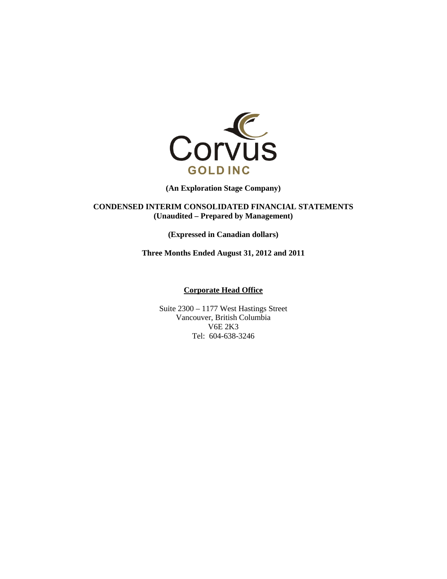

**(An Exploration Stage Company)** 

**CONDENSED INTERIM CONSOLIDATED FINANCIAL STATEMENTS (Unaudited – Prepared by Management)** 

**(Expressed in Canadian dollars)** 

**Three Months Ended August 31, 2012 and 2011** 

## **Corporate Head Office**

Suite 2300 – 1177 West Hastings Street Vancouver, British Columbia V6E 2K3 Tel: 604-638-3246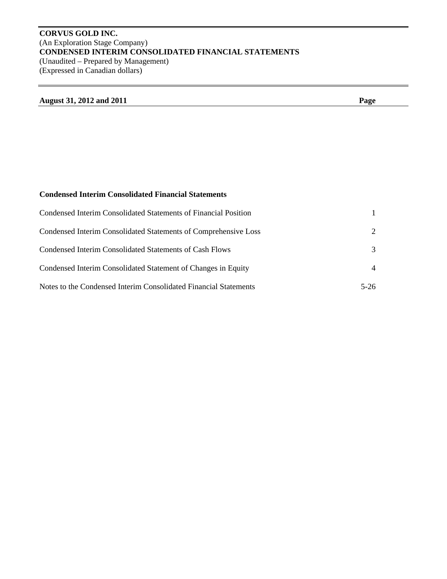# **CORVUS GOLD INC.**  (An Exploration Stage Company) **CONDENSED INTERIM CONSOLIDATED FINANCIAL STATEMENTS**  (Unaudited – Prepared by Management) (Expressed in Canadian dollars)

# **August 31, 2012 and 2011 Page**

# **Condensed Interim Consolidated Financial Statements**

| Condensed Interim Consolidated Statements of Financial Position  |                |
|------------------------------------------------------------------|----------------|
| Condensed Interim Consolidated Statements of Comprehensive Loss  | $2^{\circ}$    |
| Condensed Interim Consolidated Statements of Cash Flows          | 3              |
| Condensed Interim Consolidated Statement of Changes in Equity    | $\overline{4}$ |
| Notes to the Condensed Interim Consolidated Financial Statements | $5-26$         |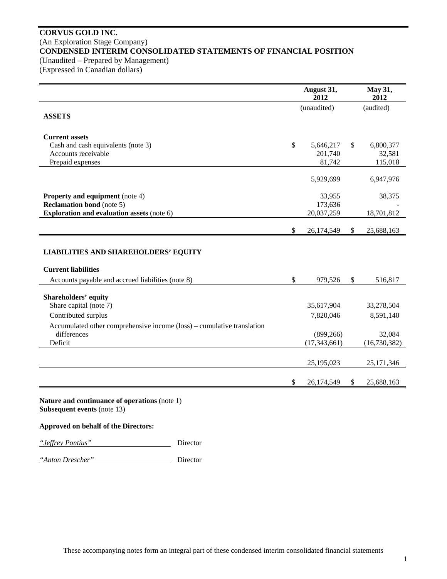# **CORVUS GOLD INC.**  (An Exploration Stage Company) **CONDENSED INTERIM CONSOLIDATED STATEMENTS OF FINANCIAL POSITION**  (Unaudited – Prepared by Management)

(Expressed in Canadian dollars)

|                                                                        |               | August 31,<br>2012 |               | May 31,<br>2012 |  |
|------------------------------------------------------------------------|---------------|--------------------|---------------|-----------------|--|
|                                                                        |               | (unaudited)        |               | (audited)       |  |
| <b>ASSETS</b>                                                          |               |                    |               |                 |  |
|                                                                        |               |                    |               |                 |  |
| <b>Current assets</b>                                                  |               |                    |               |                 |  |
| Cash and cash equivalents (note 3)                                     | $\mathbb{S}$  | 5,646,217          | \$            | 6,800,377       |  |
| Accounts receivable                                                    |               | 201,740            |               | 32,581          |  |
| Prepaid expenses                                                       |               | 81,742             |               | 115,018         |  |
|                                                                        |               | 5,929,699          |               | 6,947,976       |  |
|                                                                        |               |                    |               |                 |  |
| <b>Property and equipment</b> (note 4)                                 |               | 33,955             |               | 38,375          |  |
| <b>Reclamation bond</b> (note 5)                                       |               | 173,636            |               |                 |  |
| <b>Exploration and evaluation assets (note 6)</b>                      |               | 20,037,259         |               | 18,701,812      |  |
|                                                                        |               |                    |               |                 |  |
|                                                                        | \$            | 26,174,549         | $\mathbb{S}$  | 25,688,163      |  |
| <b>LIABILITIES AND SHAREHOLDERS' EQUITY</b>                            |               |                    |               |                 |  |
| <b>Current liabilities</b>                                             |               |                    |               |                 |  |
| Accounts payable and accrued liabilities (note 8)                      | $\mathcal{S}$ | 979,526            | $\mathcal{S}$ | 516,817         |  |
|                                                                        |               |                    |               |                 |  |
| <b>Shareholders' equity</b><br>Share capital (note 7)                  |               | 35,617,904         |               |                 |  |
|                                                                        |               |                    |               | 33,278,504      |  |
| Contributed surplus                                                    |               | 7,820,046          |               | 8,591,140       |  |
| Accumulated other comprehensive income (loss) – cumulative translation |               |                    |               |                 |  |
| differences                                                            |               | (899, 266)         |               | 32,084          |  |
| Deficit                                                                |               | (17, 343, 661)     |               | (16, 730, 382)  |  |
|                                                                        |               |                    |               |                 |  |
|                                                                        |               | 25,195,023         |               | 25,171,346      |  |
|                                                                        |               |                    |               |                 |  |
|                                                                        | \$            | 26,174,549         | \$            | 25,688,163      |  |
|                                                                        |               |                    |               |                 |  |

**Nature and continuance of operations** (note 1) **Subsequent events** (note 13)

## **Approved on behalf of the Directors:**



*"Anton Drescher"* Director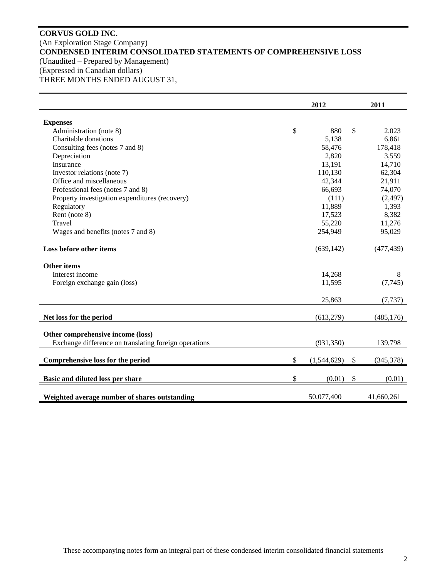# **CORVUS GOLD INC.**  (An Exploration Stage Company) **CONDENSED INTERIM CONSOLIDATED STATEMENTS OF COMPREHENSIVE LOSS**  (Unaudited – Prepared by Management) (Expressed in Canadian dollars) THREE MONTHS ENDED AUGUST 31,

|                                                                                            | 2012              | 2011            |
|--------------------------------------------------------------------------------------------|-------------------|-----------------|
|                                                                                            |                   |                 |
| <b>Expenses</b>                                                                            |                   |                 |
| Administration (note 8)                                                                    | \$<br>880         | \$<br>2,023     |
| Charitable donations                                                                       | 5,138             | 6,861           |
| Consulting fees (notes 7 and 8)                                                            | 58,476            | 178,418         |
| Depreciation                                                                               | 2,820             | 3,559           |
| Insurance                                                                                  | 13,191            | 14,710          |
| Investor relations (note 7)                                                                | 110,130           | 62,304          |
| Office and miscellaneous                                                                   | 42,344            | 21,911          |
| Professional fees (notes 7 and 8)                                                          | 66,693            | 74,070          |
| Property investigation expenditures (recovery)                                             | (111)             | (2, 497)        |
| Regulatory                                                                                 | 11,889            | 1,393           |
| Rent (note 8)                                                                              | 17,523            | 8,382           |
| Travel                                                                                     | 55,220            | 11,276          |
| Wages and benefits (notes 7 and 8)                                                         | 254,949           | 95,029          |
| Loss before other items                                                                    | (639, 142)        | (477, 439)      |
| <b>Other items</b>                                                                         |                   |                 |
| Interest income                                                                            | 14,268            | 8               |
| Foreign exchange gain (loss)                                                               | 11,595            | (7,745)         |
|                                                                                            | 25,863            | (7, 737)        |
| Net loss for the period                                                                    | (613,279)         | (485, 176)      |
| Other comprehensive income (loss)<br>Exchange difference on translating foreign operations | (931, 350)        | 139,798         |
|                                                                                            |                   |                 |
| Comprehensive loss for the period                                                          | \$<br>(1,544,629) | \$<br>(345,378) |
| Basic and diluted loss per share                                                           | \$<br>(0.01)      | \$<br>(0.01)    |
| Weighted average number of shares outstanding                                              | 50,077,400        | 41,660,261      |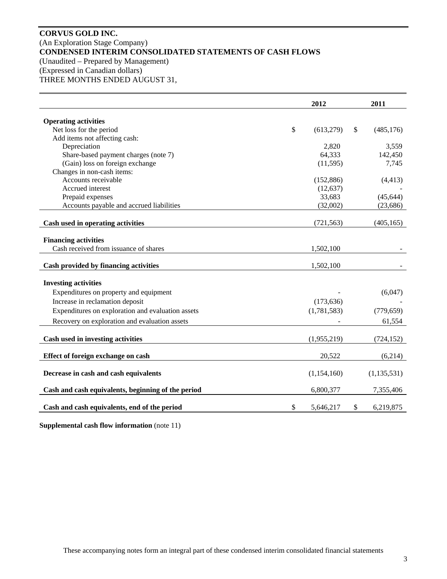# **CORVUS GOLD INC.**  (An Exploration Stage Company) **CONDENSED INTERIM CONSOLIDATED STATEMENTS OF CASH FLOWS**  (Unaudited – Prepared by Management) (Expressed in Canadian dollars) THREE MONTHS ENDED AUGUST 31,

|                                                    |              | 2012        | 2011             |
|----------------------------------------------------|--------------|-------------|------------------|
| <b>Operating activities</b>                        |              |             |                  |
| Net loss for the period                            | $\mathbb{S}$ | (613,279)   | \$<br>(485, 176) |
| Add items not affecting cash:                      |              |             |                  |
| Depreciation                                       |              | 2,820       | 3,559            |
| Share-based payment charges (note 7)               |              | 64,333      | 142,450          |
| (Gain) loss on foreign exchange                    |              | (11,595)    | 7,745            |
| Changes in non-cash items:                         |              |             |                  |
| Accounts receivable                                |              | (152, 886)  | (4, 413)         |
| Accrued interest                                   |              | (12, 637)   |                  |
| Prepaid expenses                                   |              | 33,683      | (45, 644)        |
| Accounts payable and accrued liabilities           |              | (32,002)    | (23, 686)        |
| Cash used in operating activities                  |              | (721, 563)  | (405, 165)       |
| <b>Financing activities</b>                        |              |             |                  |
| Cash received from issuance of shares              |              | 1,502,100   |                  |
| Cash provided by financing activities              |              | 1,502,100   |                  |
| <b>Investing activities</b>                        |              |             |                  |
| Expenditures on property and equipment             |              |             | (6,047)          |
| Increase in reclamation deposit                    |              | (173, 636)  |                  |
| Expenditures on exploration and evaluation assets  |              | (1,781,583) | (779, 659)       |
| Recovery on exploration and evaluation assets      |              |             | 61,554           |
| Cash used in investing activities                  |              | (1,955,219) | (724, 152)       |
|                                                    |              |             |                  |
| Effect of foreign exchange on cash                 |              | 20,522      | (6,214)          |
| Decrease in cash and cash equivalents              |              | (1,154,160) | (1, 135, 531)    |
| Cash and cash equivalents, beginning of the period |              | 6,800,377   | 7,355,406        |
| Cash and cash equivalents, end of the period       | \$           | 5,646,217   | \$<br>6,219,875  |

**Supplemental cash flow information** (note 11)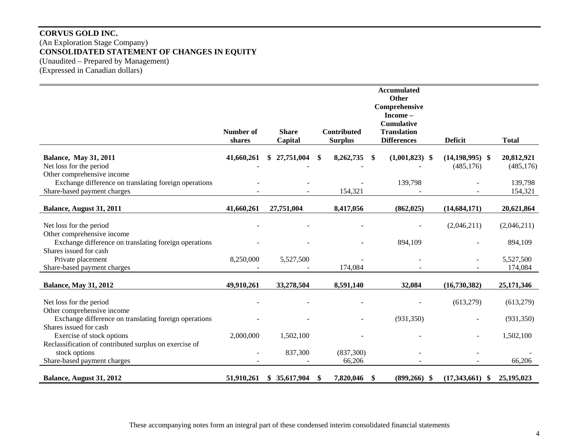# **CORVUS GOLD INC.**  (An Exploration Stage Company) **CONSOLIDATED STATEMENT OF CHANGES IN EQUITY**  (Unaudited – Prepared by Management) (Expressed in Canadian dollars)

| Comprehensive<br>Income-<br><b>Cumulative</b><br><b>Number of</b><br><b>Share</b><br><b>Contributed</b><br><b>Translation</b><br>Capital<br><b>Differences</b><br><b>Deficit</b><br><b>Total</b><br><b>Surplus</b><br>shares<br>41,660,261<br>27,751,004<br>8,262,735<br>$(1,001,823)$ \$<br>$(14, 198, 995)$ \$<br>20,812,921<br><b>Balance, May 31, 2011</b><br>S.<br>\$.<br>\$<br>Net loss for the period<br>(485, 176)<br>(485, 176)<br>Other comprehensive income<br>Exchange difference on translating foreign operations<br>139,798<br>139,798<br>Share-based payment charges<br>154,321<br>154,321<br>27,751,004<br>8,417,056<br>(14, 684, 171)<br>20,621,864<br>Balance, August 31, 2011<br>41,660,261<br>(862, 025)<br>Net loss for the period<br>(2,046,211)<br>(2,046,211)<br>Other comprehensive income<br>Exchange difference on translating foreign operations<br>894,109<br>894,109<br>Shares issued for cash<br>Private placement<br>8,250,000<br>5,527,500<br>5,527,500<br>Share-based payment charges<br>174,084<br>174,084<br>33,278,504<br>8,591,140<br>32,084<br><b>Balance, May 31, 2012</b><br>49,910,261<br>(16,730,382)<br>25,171,346<br>Net loss for the period<br>(613,279)<br>(613,279)<br>Other comprehensive income<br>Exchange difference on translating foreign operations<br>(931, 350)<br>(931, 350)<br>Shares issued for cash<br>Exercise of stock options<br>2,000,000<br>1,502,100<br>1,502,100<br>Reclassification of contributed surplus on exercise of<br>stock options<br>837,300<br>(837,300)<br>Share-based payment charges<br>66,206<br>66,206 |                          |            |              |           | <b>Accumulated</b><br>Other |                      |              |
|---------------------------------------------------------------------------------------------------------------------------------------------------------------------------------------------------------------------------------------------------------------------------------------------------------------------------------------------------------------------------------------------------------------------------------------------------------------------------------------------------------------------------------------------------------------------------------------------------------------------------------------------------------------------------------------------------------------------------------------------------------------------------------------------------------------------------------------------------------------------------------------------------------------------------------------------------------------------------------------------------------------------------------------------------------------------------------------------------------------------------------------------------------------------------------------------------------------------------------------------------------------------------------------------------------------------------------------------------------------------------------------------------------------------------------------------------------------------------------------------------------------------------------------------------------------------------------------------|--------------------------|------------|--------------|-----------|-----------------------------|----------------------|--------------|
|                                                                                                                                                                                                                                                                                                                                                                                                                                                                                                                                                                                                                                                                                                                                                                                                                                                                                                                                                                                                                                                                                                                                                                                                                                                                                                                                                                                                                                                                                                                                                                                             |                          |            |              |           |                             |                      |              |
|                                                                                                                                                                                                                                                                                                                                                                                                                                                                                                                                                                                                                                                                                                                                                                                                                                                                                                                                                                                                                                                                                                                                                                                                                                                                                                                                                                                                                                                                                                                                                                                             |                          |            |              |           |                             |                      |              |
|                                                                                                                                                                                                                                                                                                                                                                                                                                                                                                                                                                                                                                                                                                                                                                                                                                                                                                                                                                                                                                                                                                                                                                                                                                                                                                                                                                                                                                                                                                                                                                                             |                          |            |              |           |                             |                      |              |
|                                                                                                                                                                                                                                                                                                                                                                                                                                                                                                                                                                                                                                                                                                                                                                                                                                                                                                                                                                                                                                                                                                                                                                                                                                                                                                                                                                                                                                                                                                                                                                                             |                          |            |              |           |                             |                      |              |
|                                                                                                                                                                                                                                                                                                                                                                                                                                                                                                                                                                                                                                                                                                                                                                                                                                                                                                                                                                                                                                                                                                                                                                                                                                                                                                                                                                                                                                                                                                                                                                                             |                          |            |              |           |                             |                      |              |
|                                                                                                                                                                                                                                                                                                                                                                                                                                                                                                                                                                                                                                                                                                                                                                                                                                                                                                                                                                                                                                                                                                                                                                                                                                                                                                                                                                                                                                                                                                                                                                                             |                          |            |              |           |                             |                      |              |
|                                                                                                                                                                                                                                                                                                                                                                                                                                                                                                                                                                                                                                                                                                                                                                                                                                                                                                                                                                                                                                                                                                                                                                                                                                                                                                                                                                                                                                                                                                                                                                                             |                          |            |              |           |                             |                      |              |
|                                                                                                                                                                                                                                                                                                                                                                                                                                                                                                                                                                                                                                                                                                                                                                                                                                                                                                                                                                                                                                                                                                                                                                                                                                                                                                                                                                                                                                                                                                                                                                                             |                          |            |              |           |                             |                      |              |
|                                                                                                                                                                                                                                                                                                                                                                                                                                                                                                                                                                                                                                                                                                                                                                                                                                                                                                                                                                                                                                                                                                                                                                                                                                                                                                                                                                                                                                                                                                                                                                                             |                          |            |              |           |                             |                      |              |
|                                                                                                                                                                                                                                                                                                                                                                                                                                                                                                                                                                                                                                                                                                                                                                                                                                                                                                                                                                                                                                                                                                                                                                                                                                                                                                                                                                                                                                                                                                                                                                                             |                          |            |              |           |                             |                      |              |
|                                                                                                                                                                                                                                                                                                                                                                                                                                                                                                                                                                                                                                                                                                                                                                                                                                                                                                                                                                                                                                                                                                                                                                                                                                                                                                                                                                                                                                                                                                                                                                                             |                          |            |              |           |                             |                      |              |
|                                                                                                                                                                                                                                                                                                                                                                                                                                                                                                                                                                                                                                                                                                                                                                                                                                                                                                                                                                                                                                                                                                                                                                                                                                                                                                                                                                                                                                                                                                                                                                                             |                          |            |              |           |                             |                      |              |
|                                                                                                                                                                                                                                                                                                                                                                                                                                                                                                                                                                                                                                                                                                                                                                                                                                                                                                                                                                                                                                                                                                                                                                                                                                                                                                                                                                                                                                                                                                                                                                                             |                          |            |              |           |                             |                      |              |
|                                                                                                                                                                                                                                                                                                                                                                                                                                                                                                                                                                                                                                                                                                                                                                                                                                                                                                                                                                                                                                                                                                                                                                                                                                                                                                                                                                                                                                                                                                                                                                                             |                          |            |              |           |                             |                      |              |
|                                                                                                                                                                                                                                                                                                                                                                                                                                                                                                                                                                                                                                                                                                                                                                                                                                                                                                                                                                                                                                                                                                                                                                                                                                                                                                                                                                                                                                                                                                                                                                                             |                          |            |              |           |                             |                      |              |
|                                                                                                                                                                                                                                                                                                                                                                                                                                                                                                                                                                                                                                                                                                                                                                                                                                                                                                                                                                                                                                                                                                                                                                                                                                                                                                                                                                                                                                                                                                                                                                                             |                          |            |              |           |                             |                      |              |
|                                                                                                                                                                                                                                                                                                                                                                                                                                                                                                                                                                                                                                                                                                                                                                                                                                                                                                                                                                                                                                                                                                                                                                                                                                                                                                                                                                                                                                                                                                                                                                                             |                          |            |              |           |                             |                      |              |
|                                                                                                                                                                                                                                                                                                                                                                                                                                                                                                                                                                                                                                                                                                                                                                                                                                                                                                                                                                                                                                                                                                                                                                                                                                                                                                                                                                                                                                                                                                                                                                                             |                          |            |              |           |                             |                      |              |
|                                                                                                                                                                                                                                                                                                                                                                                                                                                                                                                                                                                                                                                                                                                                                                                                                                                                                                                                                                                                                                                                                                                                                                                                                                                                                                                                                                                                                                                                                                                                                                                             |                          |            |              |           |                             |                      |              |
|                                                                                                                                                                                                                                                                                                                                                                                                                                                                                                                                                                                                                                                                                                                                                                                                                                                                                                                                                                                                                                                                                                                                                                                                                                                                                                                                                                                                                                                                                                                                                                                             |                          |            |              |           |                             |                      |              |
|                                                                                                                                                                                                                                                                                                                                                                                                                                                                                                                                                                                                                                                                                                                                                                                                                                                                                                                                                                                                                                                                                                                                                                                                                                                                                                                                                                                                                                                                                                                                                                                             |                          |            |              |           |                             |                      |              |
|                                                                                                                                                                                                                                                                                                                                                                                                                                                                                                                                                                                                                                                                                                                                                                                                                                                                                                                                                                                                                                                                                                                                                                                                                                                                                                                                                                                                                                                                                                                                                                                             |                          |            |              |           |                             |                      |              |
|                                                                                                                                                                                                                                                                                                                                                                                                                                                                                                                                                                                                                                                                                                                                                                                                                                                                                                                                                                                                                                                                                                                                                                                                                                                                                                                                                                                                                                                                                                                                                                                             |                          |            |              |           |                             |                      |              |
|                                                                                                                                                                                                                                                                                                                                                                                                                                                                                                                                                                                                                                                                                                                                                                                                                                                                                                                                                                                                                                                                                                                                                                                                                                                                                                                                                                                                                                                                                                                                                                                             |                          |            |              |           |                             |                      |              |
|                                                                                                                                                                                                                                                                                                                                                                                                                                                                                                                                                                                                                                                                                                                                                                                                                                                                                                                                                                                                                                                                                                                                                                                                                                                                                                                                                                                                                                                                                                                                                                                             |                          |            |              |           |                             |                      |              |
|                                                                                                                                                                                                                                                                                                                                                                                                                                                                                                                                                                                                                                                                                                                                                                                                                                                                                                                                                                                                                                                                                                                                                                                                                                                                                                                                                                                                                                                                                                                                                                                             |                          |            |              |           |                             |                      |              |
|                                                                                                                                                                                                                                                                                                                                                                                                                                                                                                                                                                                                                                                                                                                                                                                                                                                                                                                                                                                                                                                                                                                                                                                                                                                                                                                                                                                                                                                                                                                                                                                             |                          |            |              |           |                             |                      |              |
|                                                                                                                                                                                                                                                                                                                                                                                                                                                                                                                                                                                                                                                                                                                                                                                                                                                                                                                                                                                                                                                                                                                                                                                                                                                                                                                                                                                                                                                                                                                                                                                             | Balance, August 31, 2012 | 51,910,261 | \$35,617,904 | 7,820,046 | $(899,266)$ \$<br>S         | (17,343,661)<br>- \$ | 25, 195, 023 |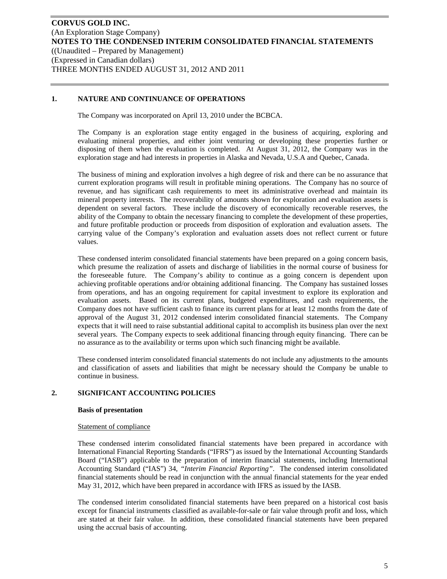## **1. NATURE AND CONTINUANCE OF OPERATIONS**

The Company was incorporated on April 13, 2010 under the BCBCA.

The Company is an exploration stage entity engaged in the business of acquiring, exploring and evaluating mineral properties, and either joint venturing or developing these properties further or disposing of them when the evaluation is completed. At August 31, 2012, the Company was in the exploration stage and had interests in properties in Alaska and Nevada, U.S.A and Quebec, Canada.

The business of mining and exploration involves a high degree of risk and there can be no assurance that current exploration programs will result in profitable mining operations. The Company has no source of revenue, and has significant cash requirements to meet its administrative overhead and maintain its mineral property interests. The recoverability of amounts shown for exploration and evaluation assets is dependent on several factors. These include the discovery of economically recoverable reserves, the ability of the Company to obtain the necessary financing to complete the development of these properties, and future profitable production or proceeds from disposition of exploration and evaluation assets. The carrying value of the Company's exploration and evaluation assets does not reflect current or future values.

These condensed interim consolidated financial statements have been prepared on a going concern basis, which presume the realization of assets and discharge of liabilities in the normal course of business for the foreseeable future. The Company's ability to continue as a going concern is dependent upon achieving profitable operations and/or obtaining additional financing. The Company has sustained losses from operations, and has an ongoing requirement for capital investment to explore its exploration and evaluation assets. Based on its current plans, budgeted expenditures, and cash requirements, the Company does not have sufficient cash to finance its current plans for at least 12 months from the date of approval of the August 31, 2012 condensed interim consolidated financial statements. The Company expects that it will need to raise substantial additional capital to accomplish its business plan over the next several years. The Company expects to seek additional financing through equity financing. There can be no assurance as to the availability or terms upon which such financing might be available.

These condensed interim consolidated financial statements do not include any adjustments to the amounts and classification of assets and liabilities that might be necessary should the Company be unable to continue in business.

## **2. SIGNIFICANT ACCOUNTING POLICIES**

#### **Basis of presentation**

#### Statement of compliance

These condensed interim consolidated financial statements have been prepared in accordance with International Financial Reporting Standards ("IFRS") as issued by the International Accounting Standards Board ("IASB") applicable to the preparation of interim financial statements, including International Accounting Standard ("IAS") 34, *"Interim Financial Reporting"*. The condensed interim consolidated financial statements should be read in conjunction with the annual financial statements for the year ended May 31, 2012, which have been prepared in accordance with IFRS as issued by the IASB.

The condensed interim consolidated financial statements have been prepared on a historical cost basis except for financial instruments classified as available-for-sale or fair value through profit and loss, which are stated at their fair value. In addition, these consolidated financial statements have been prepared using the accrual basis of accounting.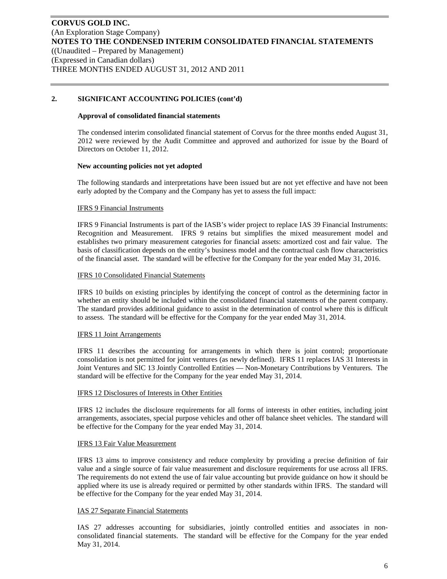## **2. SIGNIFICANT ACCOUNTING POLICIES (cont'd)**

#### **Approval of consolidated financial statements**

The condensed interim consolidated financial statement of Corvus for the three months ended August 31, 2012 were reviewed by the Audit Committee and approved and authorized for issue by the Board of Directors on October 11, 2012.

#### **New accounting policies not yet adopted**

The following standards and interpretations have been issued but are not yet effective and have not been early adopted by the Company and the Company has yet to assess the full impact:

#### IFRS 9 Financial Instruments

IFRS 9 Financial Instruments is part of the IASB's wider project to replace IAS 39 Financial Instruments: Recognition and Measurement. IFRS 9 retains but simplifies the mixed measurement model and establishes two primary measurement categories for financial assets: amortized cost and fair value. The basis of classification depends on the entity's business model and the contractual cash flow characteristics of the financial asset. The standard will be effective for the Company for the year ended May 31, 2016.

#### IFRS 10 Consolidated Financial Statements

IFRS 10 builds on existing principles by identifying the concept of control as the determining factor in whether an entity should be included within the consolidated financial statements of the parent company. The standard provides additional guidance to assist in the determination of control where this is difficult to assess. The standard will be effective for the Company for the year ended May 31, 2014.

#### IFRS 11 Joint Arrangements

IFRS 11 describes the accounting for arrangements in which there is joint control; proportionate consolidation is not permitted for joint ventures (as newly defined). IFRS 11 replaces IAS 31 Interests in Joint Ventures and SIC 13 Jointly Controlled Entities — Non-Monetary Contributions by Venturers. The standard will be effective for the Company for the year ended May 31, 2014.

#### IFRS 12 Disclosures of Interests in Other Entities

IFRS 12 includes the disclosure requirements for all forms of interests in other entities, including joint arrangements, associates, special purpose vehicles and other off balance sheet vehicles. The standard will be effective for the Company for the year ended May 31, 2014.

#### IFRS 13 Fair Value Measurement

IFRS 13 aims to improve consistency and reduce complexity by providing a precise definition of fair value and a single source of fair value measurement and disclosure requirements for use across all IFRS. The requirements do not extend the use of fair value accounting but provide guidance on how it should be applied where its use is already required or permitted by other standards within IFRS. The standard will be effective for the Company for the year ended May 31, 2014.

## IAS 27 Separate Financial Statements

IAS 27 addresses accounting for subsidiaries, jointly controlled entities and associates in nonconsolidated financial statements. The standard will be effective for the Company for the year ended May 31, 2014.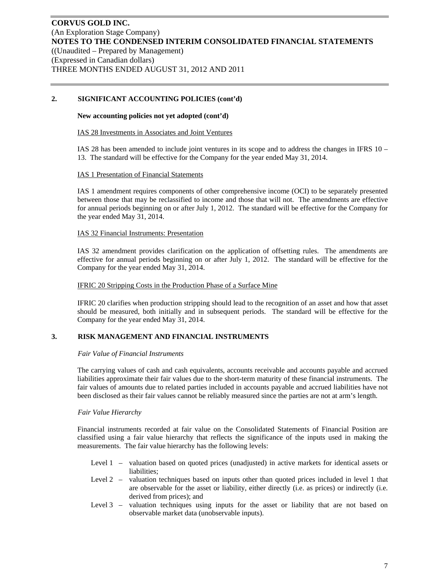## **2. SIGNIFICANT ACCOUNTING POLICIES (cont'd)**

#### **New accounting policies not yet adopted (cont'd)**

#### IAS 28 Investments in Associates and Joint Ventures

IAS 28 has been amended to include joint ventures in its scope and to address the changes in IFRS 10 – 13. The standard will be effective for the Company for the year ended May 31, 2014.

#### IAS 1 Presentation of Financial Statements

IAS 1 amendment requires components of other comprehensive income (OCI) to be separately presented between those that may be reclassified to income and those that will not. The amendments are effective for annual periods beginning on or after July 1, 2012. The standard will be effective for the Company for the year ended May 31, 2014.

#### IAS 32 Financial Instruments: Presentation

IAS 32 amendment provides clarification on the application of offsetting rules. The amendments are effective for annual periods beginning on or after July 1, 2012. The standard will be effective for the Company for the year ended May 31, 2014.

#### IFRIC 20 Stripping Costs in the Production Phase of a Surface Mine

IFRIC 20 clarifies when production stripping should lead to the recognition of an asset and how that asset should be measured, both initially and in subsequent periods. The standard will be effective for the Company for the year ended May 31, 2014.

## **3. RISK MANAGEMENT AND FINANCIAL INSTRUMENTS**

#### *Fair Value of Financial Instruments*

The carrying values of cash and cash equivalents, accounts receivable and accounts payable and accrued liabilities approximate their fair values due to the short-term maturity of these financial instruments. The fair values of amounts due to related parties included in accounts payable and accrued liabilities have not been disclosed as their fair values cannot be reliably measured since the parties are not at arm's length.

#### *Fair Value Hierarchy*

Financial instruments recorded at fair value on the Consolidated Statements of Financial Position are classified using a fair value hierarchy that reflects the significance of the inputs used in making the measurements. The fair value hierarchy has the following levels:

- Level 1 valuation based on quoted prices (unadjusted) in active markets for identical assets or liabilities;
- Level 2 valuation techniques based on inputs other than quoted prices included in level 1 that are observable for the asset or liability, either directly (i.e. as prices) or indirectly (i.e. derived from prices); and
- Level 3 valuation techniques using inputs for the asset or liability that are not based on observable market data (unobservable inputs).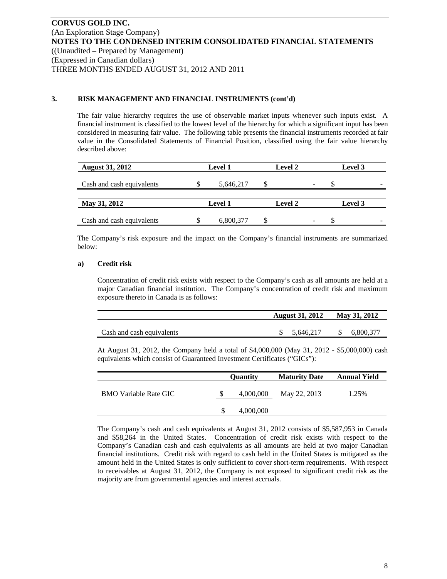## **3. RISK MANAGEMENT AND FINANCIAL INSTRUMENTS (cont'd)**

The fair value hierarchy requires the use of observable market inputs whenever such inputs exist. A financial instrument is classified to the lowest level of the hierarchy for which a significant input has been considered in measuring fair value. The following table presents the financial instruments recorded at fair value in the Consolidated Statements of Financial Position, classified using the fair value hierarchy described above:

| <b>August 31, 2012</b>    | <b>Level 1</b> |  | <b>Level 2</b> | Level 3        |   |
|---------------------------|----------------|--|----------------|----------------|---|
| Cash and cash equivalents | 5,646,217      |  | -              |                | - |
| May 31, 2012              | <b>Level 1</b> |  | <b>Level 2</b> | <b>Level 3</b> |   |
| Cash and cash equivalents | 6,800,377      |  | -              |                | - |

The Company's risk exposure and the impact on the Company's financial instruments are summarized below:

#### **a) Credit risk**

Concentration of credit risk exists with respect to the Company's cash as all amounts are held at a major Canadian financial institution. The Company's concentration of credit risk and maximum exposure thereto in Canada is as follows:

|                           | August 31, 2012 May 31, 2012 |           |              |           |
|---------------------------|------------------------------|-----------|--------------|-----------|
| Cash and cash equivalents |                              | 5,646,217 | $\mathbb{S}$ | 6.800.377 |
|                           |                              |           |              |           |

At August 31, 2012, the Company held a total of \$4,000,000 (May 31, 2012 - \$5,000,000) cash equivalents which consist of Guaranteed Investment Certificates ("GICs"):

|                              |   | <b>Ouantity</b> | <b>Maturity Date</b> | <b>Annual Yield</b> |
|------------------------------|---|-----------------|----------------------|---------------------|
| <b>BMO</b> Variable Rate GIC | S | 4,000,000       | May 22, 2013         | 1.25%               |
|                              |   | 4,000,000       |                      |                     |

The Company's cash and cash equivalents at August 31, 2012 consists of \$5,587,953 in Canada and \$58,264 in the United States. Concentration of credit risk exists with respect to the Company's Canadian cash and cash equivalents as all amounts are held at two major Canadian financial institutions. Credit risk with regard to cash held in the United States is mitigated as the amount held in the United States is only sufficient to cover short-term requirements. With respect to receivables at August 31, 2012, the Company is not exposed to significant credit risk as the majority are from governmental agencies and interest accruals.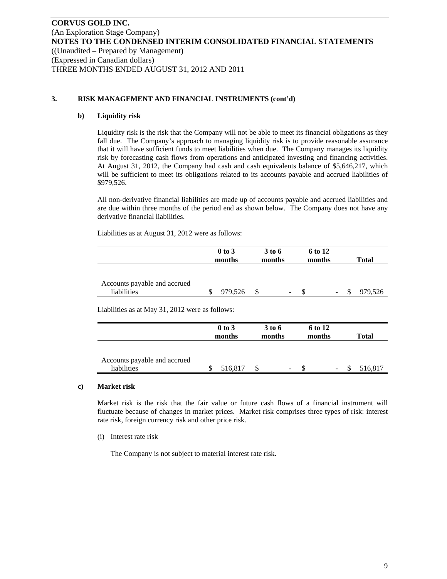## **3. RISK MANAGEMENT AND FINANCIAL INSTRUMENTS (cont'd)**

#### **b) Liquidity risk**

Liquidity risk is the risk that the Company will not be able to meet its financial obligations as they fall due. The Company's approach to managing liquidity risk is to provide reasonable assurance that it will have sufficient funds to meet liabilities when due. The Company manages its liquidity risk by forecasting cash flows from operations and anticipated investing and financing activities. At August 31, 2012, the Company had cash and cash equivalents balance of \$5,646,217, which will be sufficient to meet its obligations related to its accounts payable and accrued liabilities of \$979,526.

All non-derivative financial liabilities are made up of accounts payable and accrued liabilities and are due within three months of the period end as shown below. The Company does not have any derivative financial liabilities.

Liabilities as at August 31, 2012 were as follows:

|                                             | $0$ to $3$<br>months | 3 to 6<br>months |                              | 6 to 12<br>months |                          | <b>Total</b> |
|---------------------------------------------|----------------------|------------------|------------------------------|-------------------|--------------------------|--------------|
| Accounts payable and accrued<br>liabilities | 979,526              |                  | $\qquad \qquad \blacksquare$ |                   | $\overline{\phantom{a}}$ | 979.526      |

Liabilities as at May 31, 2012 were as follows:

|                                             | $0$ to $3$<br>months | 3 to 6<br>months |                          | 6 to 12<br>months |        | <b>Total</b> |
|---------------------------------------------|----------------------|------------------|--------------------------|-------------------|--------|--------------|
| Accounts payable and accrued<br>liabilities | 516,817              |                  | $\overline{\phantom{a}}$ |                   | $\sim$ | 516,817      |

#### **c) Market risk**

Market risk is the risk that the fair value or future cash flows of a financial instrument will fluctuate because of changes in market prices. Market risk comprises three types of risk: interest rate risk, foreign currency risk and other price risk.

(i) Interest rate risk

The Company is not subject to material interest rate risk.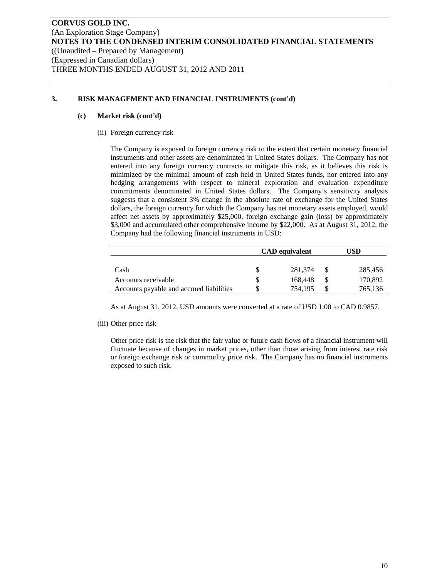## **3. RISK MANAGEMENT AND FINANCIAL INSTRUMENTS (cont'd)**

#### **(c) Market risk (cont'd)**

(ii) Foreign currency risk

The Company is exposed to foreign currency risk to the extent that certain monetary financial instruments and other assets are denominated in United States dollars. The Company has not entered into any foreign currency contracts to mitigate this risk, as it believes this risk is minimized by the minimal amount of cash held in United States funds, nor entered into any hedging arrangements with respect to mineral exploration and evaluation expenditure commitments denominated in United States dollars. The Company's sensitivity analysis suggests that a consistent 3% change in the absolute rate of exchange for the United States dollars, the foreign currency for which the Company has net monetary assets employed, would affect net assets by approximately \$25,000, foreign exchange gain (loss) by approximately \$3,000 and accumulated other comprehensive income by \$22,000. As at August 31, 2012, the Company had the following financial instruments in USD:

|                                          | <b>CAD</b> equivalent | USD |         |  |  |
|------------------------------------------|-----------------------|-----|---------|--|--|
|                                          |                       |     |         |  |  |
| Cash                                     | 281.374               |     | 285,456 |  |  |
| Accounts receivable                      | 168,448               |     | 170,892 |  |  |
| Accounts payable and accrued liabilities | 754.195               |     | 765,136 |  |  |

As at August 31, 2012, USD amounts were converted at a rate of USD 1.00 to CAD 0.9857.

(iii) Other price risk

Other price risk is the risk that the fair value or future cash flows of a financial instrument will fluctuate because of changes in market prices, other than those arising from interest rate risk or foreign exchange risk or commodity price risk. The Company has no financial instruments exposed to such risk.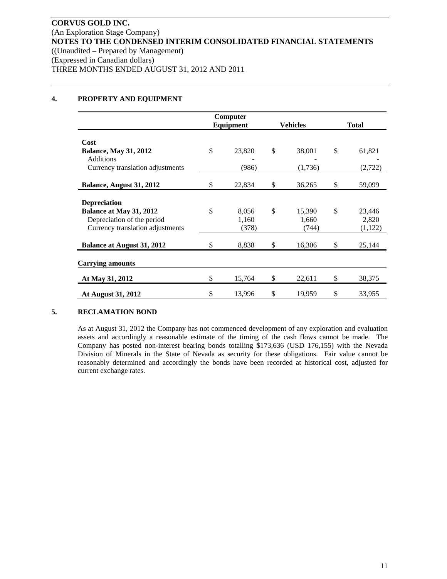## **4. PROPERTY AND EQUIPMENT**

|                                   | Computer<br>Equipment |        | <b>Vehicles</b> | <b>Total</b> |         |
|-----------------------------------|-----------------------|--------|-----------------|--------------|---------|
|                                   |                       |        |                 |              |         |
| Cost                              |                       |        |                 |              |         |
| <b>Balance, May 31, 2012</b>      | \$                    | 23,820 | \$<br>38,001    | \$           | 61,821  |
| <b>Additions</b>                  |                       |        |                 |              |         |
| Currency translation adjustments  |                       | (986)  | (1,736)         |              | (2,722) |
|                                   |                       |        |                 |              |         |
| Balance, August 31, 2012          | \$                    | 22,834 | \$<br>36,265    | \$           | 59,099  |
|                                   |                       |        |                 |              |         |
| <b>Depreciation</b>               |                       |        |                 |              |         |
| Balance at May 31, 2012           | \$                    | 8,056  | \$<br>15,390    | \$           | 23,446  |
| Depreciation of the period        |                       | 1,160  | 1,660           |              | 2,820   |
| Currency translation adjustments  |                       | (378)  | (744)           |              | (1,122) |
|                                   |                       |        |                 |              |         |
| <b>Balance at August 31, 2012</b> | \$                    | 8,838  | \$<br>16,306    | \$           | 25,144  |
|                                   |                       |        |                 |              |         |
| <b>Carrying amounts</b>           |                       |        |                 |              |         |
|                                   | \$                    |        |                 |              |         |
| At May 31, 2012                   |                       | 15,764 | \$<br>22,611    | \$           | 38,375  |
| At August 31, 2012                | \$                    | 13,996 | \$<br>19,959    | \$           | 33,955  |

## **5. RECLAMATION BOND**

As at August 31, 2012 the Company has not commenced development of any exploration and evaluation assets and accordingly a reasonable estimate of the timing of the cash flows cannot be made. The Company has posted non-interest bearing bonds totalling \$173,636 (USD 176,155) with the Nevada Division of Minerals in the State of Nevada as security for these obligations. Fair value cannot be reasonably determined and accordingly the bonds have been recorded at historical cost, adjusted for current exchange rates.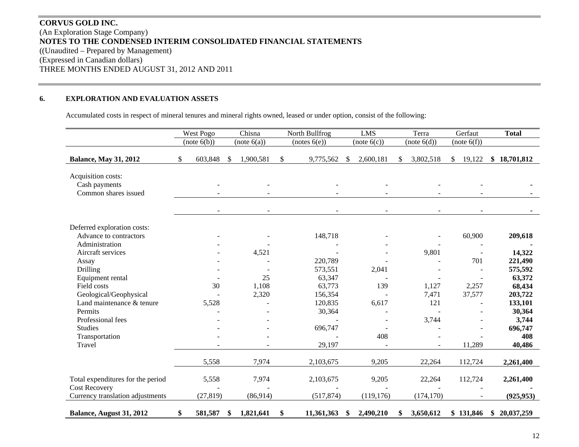# **CORVUS GOLD INC.** (An Exploration Stage Company) **NOTES TO THE CONDENSED INTERIM CONSOLIDATED FINANCIAL STATEMENTS**  ((Unaudited – Prepared by Management) (Expressed in Canadian dollars) THREE MONTHS ENDED AUGUST 31, 2012 AND 2011

#### **6.EXPLORATION AND EVALUATION ASSETS**

Accumulated costs in respect of mineral tenures and mineral rights owned, leased or under option, consist of the following:

|                                                             | West Pogo     |               | Chisna      |              | North Bullfrog |               | <b>LMS</b>  |    | Terra       | Gerfaut      | <b>Total</b>     |
|-------------------------------------------------------------|---------------|---------------|-------------|--------------|----------------|---------------|-------------|----|-------------|--------------|------------------|
|                                                             | (note 6(b))   |               | (note 6(a)) |              | (notes 6(e))   |               | (note 6(c)) |    | (note 6(d)) | (note 6(f))  |                  |
| <b>Balance, May 31, 2012</b>                                | \$<br>603,848 | <sup>\$</sup> | 1,900,581   | $\mathbb{S}$ | 9,775,562      | <sup>\$</sup> | 2,600,181   | S. | 3,802,518   | 19,122<br>\$ | 18,701,812<br>\$ |
| Acquisition costs:<br>Cash payments<br>Common shares issued |               |               |             |              |                |               |             |    |             |              |                  |
|                                                             |               |               |             |              |                |               |             |    |             |              |                  |
| Deferred exploration costs:                                 |               |               |             |              |                |               |             |    |             |              |                  |
| Advance to contractors<br>Administration                    |               |               |             |              | 148,718        |               |             |    |             | 60,900       | 209,618          |
| Aircraft services                                           |               |               | 4,521       |              |                |               |             |    | 9,801       | $\sim$       | 14,322           |
| Assay                                                       |               |               |             |              | 220,789        |               |             |    |             | 701          | 221,490          |
| Drilling                                                    |               |               |             |              | 573,551        |               | 2,041       |    |             |              | 575,592          |
| Equipment rental                                            |               |               | 25          |              | 63,347         |               |             |    |             |              | 63,372           |
| Field costs                                                 | 30            |               | 1,108       |              | 63,773         |               | 139         |    | 1,127       | 2,257        | 68,434           |
| Geological/Geophysical                                      |               |               | 2,320       |              | 156,354        |               |             |    | 7,471       | 37,577       | 203,722          |
| Land maintenance & tenure                                   | 5,528         |               |             |              | 120,835        |               | 6,617       |    | 121         |              | 133,101          |
| Permits                                                     |               |               |             |              | 30,364         |               |             |    |             |              | 30,364           |
| Professional fees                                           |               |               |             |              |                |               |             |    | 3,744       |              | 3,744            |
| <b>Studies</b>                                              |               |               |             |              | 696,747        |               |             |    |             |              | 696,747          |
| Transportation                                              |               |               |             |              |                |               | 408         |    |             |              | 408              |
| Travel                                                      |               |               |             |              | 29,197         |               |             |    |             | 11,289       | 40,486           |
|                                                             | 5,558         |               | 7,974       |              | 2,103,675      |               | 9,205       |    | 22,264      | 112,724      | 2,261,400        |
| Total expenditures for the period<br><b>Cost Recovery</b>   | 5,558         |               | 7,974       |              | 2,103,675      |               | 9,205       |    | 22,264      | 112,724      | 2,261,400        |
| Currency translation adjustments                            | (27, 819)     |               | (86,914)    |              | (517, 874)     |               | (119, 176)  |    | (174, 170)  |              | (925, 953)       |
| Balance, August 31, 2012                                    | \$<br>581,587 | \$            | 1,821,641   | \$           | 11,361,363     | \$            | 2,490,210   | \$ | 3,650,612   | \$131,846    | \$20,037,259     |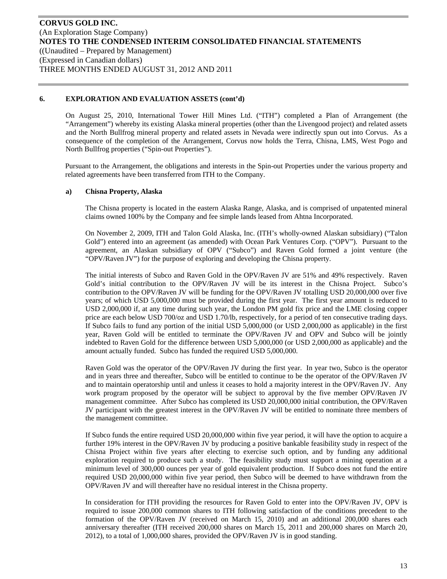On August 25, 2010, International Tower Hill Mines Ltd. ("ITH") completed a Plan of Arrangement (the "Arrangement") whereby its existing Alaska mineral properties (other than the Livengood project) and related assets and the North Bullfrog mineral property and related assets in Nevada were indirectly spun out into Corvus. As a consequence of the completion of the Arrangement, Corvus now holds the Terra, Chisna, LMS, West Pogo and North Bullfrog properties ("Spin-out Properties").

Pursuant to the Arrangement, the obligations and interests in the Spin-out Properties under the various property and related agreements have been transferred from ITH to the Company.

## **a) Chisna Property, Alaska**

The Chisna property is located in the eastern Alaska Range, Alaska, and is comprised of unpatented mineral claims owned 100% by the Company and fee simple lands leased from Ahtna Incorporated.

On November 2, 2009, ITH and Talon Gold Alaska, Inc. (ITH's wholly-owned Alaskan subsidiary) ("Talon Gold") entered into an agreement (as amended) with Ocean Park Ventures Corp. ("OPV"). Pursuant to the agreement, an Alaskan subsidiary of OPV ("Subco") and Raven Gold formed a joint venture (the "OPV/Raven JV") for the purpose of exploring and developing the Chisna property.

The initial interests of Subco and Raven Gold in the OPV/Raven JV are 51% and 49% respectively. Raven Gold's initial contribution to the OPV/Raven JV will be its interest in the Chisna Project. Subco's contribution to the OPV/Raven JV will be funding for the OPV/Raven JV totalling USD 20,000,000 over five years; of which USD 5,000,000 must be provided during the first year. The first year amount is reduced to USD 2,000,000 if, at any time during such year, the London PM gold fix price and the LME closing copper price are each below USD 700/oz and USD 1.70/lb, respectively, for a period of ten consecutive trading days. If Subco fails to fund any portion of the initial USD 5,000,000 (or USD 2,000,000 as applicable) in the first year, Raven Gold will be entitled to terminate the OPV/Raven JV and OPV and Subco will be jointly indebted to Raven Gold for the difference between USD 5,000,000 (or USD 2,000,000 as applicable) and the amount actually funded. Subco has funded the required USD 5,000,000.

Raven Gold was the operator of the OPV/Raven JV during the first year. In year two, Subco is the operator and in years three and thereafter, Subco will be entitled to continue to be the operator of the OPV/Raven JV and to maintain operatorship until and unless it ceases to hold a majority interest in the OPV/Raven JV. Any work program proposed by the operator will be subject to approval by the five member OPV/Raven JV management committee. After Subco has completed its USD 20,000,000 initial contribution, the OPV/Raven JV participant with the greatest interest in the OPV/Raven JV will be entitled to nominate three members of the management committee.

If Subco funds the entire required USD 20,000,000 within five year period, it will have the option to acquire a further 19% interest in the OPV/Raven JV by producing a positive bankable feasibility study in respect of the Chisna Project within five years after electing to exercise such option, and by funding any additional exploration required to produce such a study. The feasibility study must support a mining operation at a minimum level of 300,000 ounces per year of gold equivalent production. If Subco does not fund the entire required USD 20,000,000 within five year period, then Subco will be deemed to have withdrawn from the OPV/Raven JV and will thereafter have no residual interest in the Chisna property.

In consideration for ITH providing the resources for Raven Gold to enter into the OPV/Raven JV, OPV is required to issue 200,000 common shares to ITH following satisfaction of the conditions precedent to the formation of the OPV/Raven JV (received on March 15, 2010) and an additional 200,000 shares each anniversary thereafter (ITH received 200,000 shares on March 15, 2011 and 200,000 shares on March 20, 2012), to a total of 1,000,000 shares, provided the OPV/Raven JV is in good standing.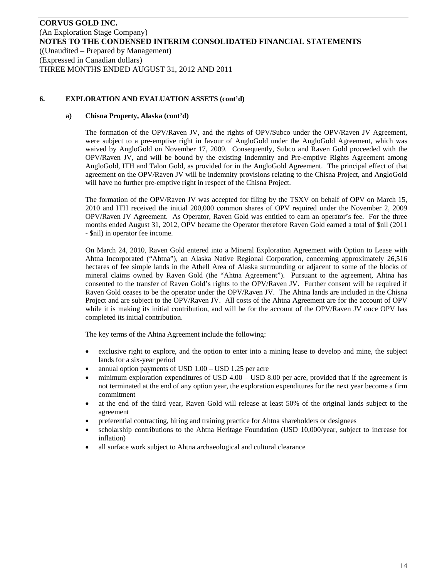## **a) Chisna Property, Alaska (cont'd)**

The formation of the OPV/Raven JV, and the rights of OPV/Subco under the OPV/Raven JV Agreement, were subject to a pre-emptive right in favour of AngloGold under the AngloGold Agreement, which was waived by AngloGold on November 17, 2009. Consequently, Subco and Raven Gold proceeded with the OPV/Raven JV, and will be bound by the existing Indemnity and Pre-emptive Rights Agreement among AngloGold, ITH and Talon Gold, as provided for in the AngloGold Agreement. The principal effect of that agreement on the OPV/Raven JV will be indemnity provisions relating to the Chisna Project, and AngloGold will have no further pre-emptive right in respect of the Chisna Project.

The formation of the OPV/Raven JV was accepted for filing by the TSXV on behalf of OPV on March 15, 2010 and ITH received the initial 200,000 common shares of OPV required under the November 2, 2009 OPV/Raven JV Agreement. As Operator, Raven Gold was entitled to earn an operator's fee. For the three months ended August 31, 2012, OPV became the Operator therefore Raven Gold earned a total of \$nil (2011 - \$nil) in operator fee income.

On March 24, 2010, Raven Gold entered into a Mineral Exploration Agreement with Option to Lease with Ahtna Incorporated ("Ahtna"), an Alaska Native Regional Corporation, concerning approximately 26,516 hectares of fee simple lands in the Athell Area of Alaska surrounding or adjacent to some of the blocks of mineral claims owned by Raven Gold (the "Ahtna Agreement"). Pursuant to the agreement, Ahtna has consented to the transfer of Raven Gold's rights to the OPV/Raven JV. Further consent will be required if Raven Gold ceases to be the operator under the OPV/Raven JV. The Ahtna lands are included in the Chisna Project and are subject to the OPV/Raven JV. All costs of the Ahtna Agreement are for the account of OPV while it is making its initial contribution, and will be for the account of the OPV/Raven JV once OPV has completed its initial contribution.

The key terms of the Ahtna Agreement include the following:

- exclusive right to explore, and the option to enter into a mining lease to develop and mine, the subject lands for a six-year period
- annual option payments of USD 1.00 USD 1.25 per acre
- minimum exploration expenditures of USD 4.00 USD 8.00 per acre, provided that if the agreement is not terminated at the end of any option year, the exploration expenditures for the next year become a firm commitment
- at the end of the third year, Raven Gold will release at least 50% of the original lands subject to the agreement
- preferential contracting, hiring and training practice for Ahtna shareholders or designees
- scholarship contributions to the Ahtna Heritage Foundation (USD 10,000/year, subject to increase for inflation)
- all surface work subject to Ahtna archaeological and cultural clearance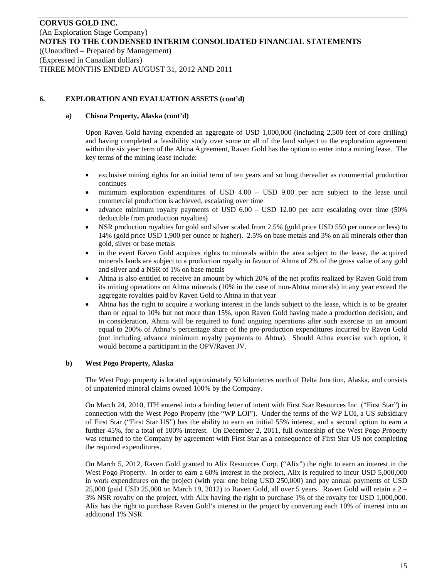## **a) Chisna Property, Alaska (cont'd)**

Upon Raven Gold having expended an aggregate of USD 1,000,000 (including 2,500 feet of core drilling) and having completed a feasibility study over some or all of the land subject to the exploration agreement within the six year term of the Ahtna Agreement, Raven Gold has the option to enter into a mining lease. The key terms of the mining lease include:

- exclusive mining rights for an initial term of ten years and so long thereafter as commercial production continues
- minimum exploration expenditures of USD 4.00 USD 9.00 per acre subject to the lease until commercial production is achieved, escalating over time
- advance minimum royalty payments of USD 6.00 USD 12.00 per acre escalating over time (50% deductible from production royalties)
- NSR production royalties for gold and silver scaled from 2.5% (gold price USD 550 per ounce or less) to 14% (gold price USD 1,900 per ounce or higher). 2.5% on base metals and 3% on all minerals other than gold, silver or base metals
- in the event Raven Gold acquires rights to minerals within the area subject to the lease, the acquired minerals lands are subject to a production royalty in favour of Ahtna of 2% of the gross value of any gold and silver and a NSR of 1% on base metals
- Ahtna is also entitled to receive an amount by which 20% of the net profits realized by Raven Gold from its mining operations on Ahtna minerals (10% in the case of non-Ahtna minerals) in any year exceed the aggregate royalties paid by Raven Gold to Ahtna in that year
- Ahtna has the right to acquire a working interest in the lands subject to the lease, which is to be greater than or equal to 10% but not more than 15%, upon Raven Gold having made a production decision, and in consideration, Ahtna will be required to fund ongoing operations after such exercise in an amount equal to 200% of Athna's percentage share of the pre-production expenditures incurred by Raven Gold (not including advance minimum royalty payments to Ahtna). Should Athna exercise such option, it would become a participant in the OPV/Raven JV.

## **b) West Pogo Property, Alaska**

The West Pogo property is located approximately 50 kilometres north of Delta Junction, Alaska, and consists of unpatented mineral claims owned 100% by the Company.

On March 24, 2010, ITH entered into a binding letter of intent with First Star Resources Inc. ("First Star") in connection with the West Pogo Property (the "WP LOI"). Under the terms of the WP LOI, a US subsidiary of First Star ("First Star US") has the ability to earn an initial 55% interest, and a second option to earn a further 45%, for a total of 100% interest. On December 2, 2011, full ownership of the West Pogo Property was returned to the Company by agreement with First Star as a consequence of First Star US not completing the required expenditures.

On March 5, 2012, Raven Gold granted to Alix Resources Corp. ("Alix") the right to earn an interest in the West Pogo Property. In order to earn a 60% interest in the project, Alix is required to incur USD 5,000,000 in work expenditures on the project (with year one being USD 250,000) and pay annual payments of USD 25,000 (paid USD 25,000 on March 19, 2012) to Raven Gold, all over 5 years. Raven Gold will retain a 2 – 3% NSR royalty on the project, with Alix having the right to purchase 1% of the royalty for USD 1,000,000. Alix has the right to purchase Raven Gold's interest in the project by converting each 10% of interest into an additional 1% NSR.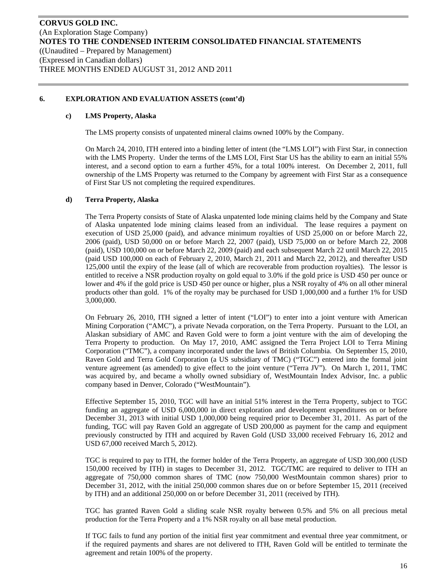#### **c) LMS Property, Alaska**

The LMS property consists of unpatented mineral claims owned 100% by the Company.

On March 24, 2010, ITH entered into a binding letter of intent (the "LMS LOI") with First Star, in connection with the LMS Property. Under the terms of the LMS LOI, First Star US has the ability to earn an initial 55% interest, and a second option to earn a further 45%, for a total 100% interest. On December 2, 2011, full ownership of the LMS Property was returned to the Company by agreement with First Star as a consequence of First Star US not completing the required expenditures.

#### **d) Terra Property, Alaska**

The Terra Property consists of State of Alaska unpatented lode mining claims held by the Company and State of Alaska unpatented lode mining claims leased from an individual. The lease requires a payment on execution of USD 25,000 (paid), and advance minimum royalties of USD 25,000 on or before March 22, 2006 (paid), USD 50,000 on or before March 22, 2007 (paid), USD 75,000 on or before March 22, 2008 (paid), USD 100,000 on or before March 22, 2009 (paid) and each subsequent March 22 until March 22, 2015 (paid USD 100,000 on each of February 2, 2010, March 21, 2011 and March 22, 2012), and thereafter USD 125,000 until the expiry of the lease (all of which are recoverable from production royalties). The lessor is entitled to receive a NSR production royalty on gold equal to 3.0% if the gold price is USD 450 per ounce or lower and 4% if the gold price is USD 450 per ounce or higher, plus a NSR royalty of 4% on all other mineral products other than gold. 1% of the royalty may be purchased for USD 1,000,000 and a further 1% for USD 3,000,000.

On February 26, 2010, ITH signed a letter of intent ("LOI") to enter into a joint venture with American Mining Corporation ("AMC"), a private Nevada corporation, on the Terra Property. Pursuant to the LOI, an Alaskan subsidiary of AMC and Raven Gold were to form a joint venture with the aim of developing the Terra Property to production. On May 17, 2010, AMC assigned the Terra Project LOI to Terra Mining Corporation ("TMC"), a company incorporated under the laws of British Columbia. On September 15, 2010, Raven Gold and Terra Gold Corporation (a US subsidiary of TMC) ("TGC") entered into the formal joint venture agreement (as amended) to give effect to the joint venture ("Terra JV"). On March 1, 2011, TMC was acquired by, and became a wholly owned subsidiary of, WestMountain Index Advisor, Inc. a public company based in Denver, Colorado ("WestMountain").

Effective September 15, 2010, TGC will have an initial 51% interest in the Terra Property, subject to TGC funding an aggregate of USD 6,000,000 in direct exploration and development expenditures on or before December 31, 2013 with initial USD 1,000,000 being required prior to December 31, 2011. As part of the funding, TGC will pay Raven Gold an aggregate of USD 200,000 as payment for the camp and equipment previously constructed by ITH and acquired by Raven Gold (USD 33,000 received February 16, 2012 and USD 67,000 received March 5, 2012).

TGC is required to pay to ITH, the former holder of the Terra Property, an aggregate of USD 300,000 (USD 150,000 received by ITH) in stages to December 31, 2012. TGC/TMC are required to deliver to ITH an aggregate of 750,000 common shares of TMC (now 750,000 WestMountain common shares) prior to December 31, 2012, with the initial 250,000 common shares due on or before September 15, 2011 (received by ITH) and an additional 250,000 on or before December 31, 2011 (received by ITH).

TGC has granted Raven Gold a sliding scale NSR royalty between 0.5% and 5% on all precious metal production for the Terra Property and a 1% NSR royalty on all base metal production.

If TGC fails to fund any portion of the initial first year commitment and eventual three year commitment, or if the required payments and shares are not delivered to ITH, Raven Gold will be entitled to terminate the agreement and retain 100% of the property.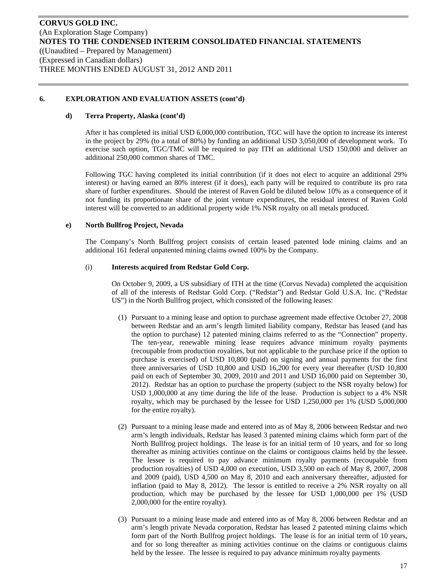#### **d) Terra Property, Alaska (cont'd)**

After it has completed its initial USD 6,000,000 contribution, TGC will have the option to increase its interest in the project by 29% (to a total of 80%) by funding an additional USD 3,050,000 of development work. To exercise such option, TGC/TMC will be required to pay ITH an additional USD 150,000 and deliver an additional 250,000 common shares of TMC.

Following TGC having completed its initial contribution (if it does not elect to acquire an additional 29% interest) or having earned an 80% interest (if it does), each party will be required to contribute its pro rata share of further expenditures. Should the interest of Raven Gold be diluted below 10% as a consequence of it not funding its proportionate share of the joint venture expenditures, the residual interest of Raven Gold interest will be converted to an additional property wide 1% NSR royalty on all metals produced.

#### **e) North Bullfrog Project, Nevada**

The Company's North Bullfrog project consists of certain leased patented lode mining claims and an additional 161 federal unpatented mining claims owned 100% by the Company.

#### (i) **Interests acquired from Redstar Gold Corp.**

On October 9, 2009, a US subsidiary of ITH at the time (Corvus Nevada) completed the acquisition of all of the interests of Redstar Gold Corp. ("Redstar") and Redstar Gold U.S.A. Inc. ("Redstar US") in the North Bullfrog project, which consisted of the following leases:

- (1) Pursuant to a mining lease and option to purchase agreement made effective October 27, 2008 between Redstar and an arm's length limited liability company, Redstar has leased (and has the option to purchase) 12 patented mining claims referred to as the "Connection" property. The ten-year, renewable mining lease requires advance minimum royalty payments (recoupable from production royalties, but not applicable to the purchase price if the option to purchase is exercised) of USD 10,800 (paid) on signing and annual payments for the first three anniversaries of USD 10,800 and USD 16,200 for every year thereafter (USD 10,800 paid on each of September 30, 2009, 2010 and 2011 and USD 16,000 paid on September 30, 2012). Redstar has an option to purchase the property (subject to the NSR royalty below) for USD 1,000,000 at any time during the life of the lease. Production is subject to a 4% NSR royalty, which may be purchased by the lessee for USD 1,250,000 per 1% (USD 5,000,000 for the entire royalty).
- (2) Pursuant to a mining lease made and entered into as of May 8, 2006 between Redstar and two arm's length individuals, Redstar has leased 3 patented mining claims which form part of the North Bullfrog project holdings. The lease is for an initial term of 10 years, and for so long thereafter as mining activities continue on the claims or contiguous claims held by the lessee. The lessee is required to pay advance minimum royalty payments (recoupable from production royalties) of USD 4,000 on execution, USD 3,500 on each of May 8, 2007, 2008 and 2009 (paid), USD 4,500 on May 8, 2010 and each anniversary thereafter, adjusted for inflation (paid to May 8, 2012). The lessor is entitled to receive a 2% NSR royalty on all production, which may be purchased by the lessee for USD 1,000,000 per 1% (USD 2,000,000 for the entire royalty).
- (3) Pursuant to a mining lease made and entered into as of May 8, 2006 between Redstar and an arm's length private Nevada corporation, Redstar has leased 2 patented mining claims which form part of the North Bullfrog project holdings. The lease is for an initial term of 10 years, and for so long thereafter as mining activities continue on the claims or contiguous claims held by the lessee. The lessee is required to pay advance minimum royalty payments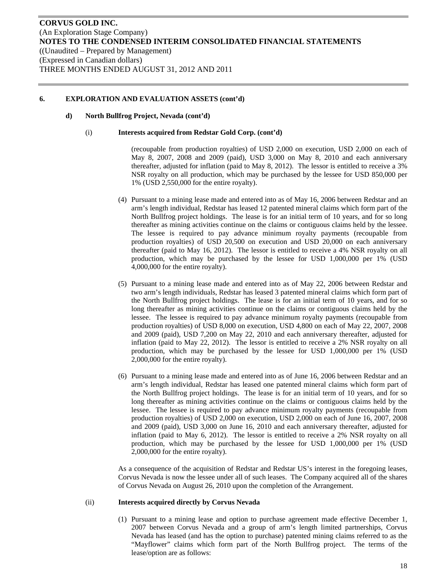#### **d) North Bullfrog Project, Nevada (cont'd)**

#### (i) **Interests acquired from Redstar Gold Corp. (cont'd)**

(recoupable from production royalties) of USD 2,000 on execution, USD 2,000 on each of May 8, 2007, 2008 and 2009 (paid), USD 3,000 on May 8, 2010 and each anniversary thereafter, adjusted for inflation (paid to May 8, 2012). The lessor is entitled to receive a 3% NSR royalty on all production, which may be purchased by the lessee for USD 850,000 per 1% (USD 2,550,000 for the entire royalty).

- (4) Pursuant to a mining lease made and entered into as of May 16, 2006 between Redstar and an arm's length individual, Redstar has leased 12 patented mineral claims which form part of the North Bullfrog project holdings. The lease is for an initial term of 10 years, and for so long thereafter as mining activities continue on the claims or contiguous claims held by the lessee. The lessee is required to pay advance minimum royalty payments (recoupable from production royalties) of USD 20,500 on execution and USD 20,000 on each anniversary thereafter (paid to May 16, 2012). The lessor is entitled to receive a 4% NSR royalty on all production, which may be purchased by the lessee for USD 1,000,000 per 1% (USD 4,000,000 for the entire royalty).
- (5) Pursuant to a mining lease made and entered into as of May 22, 2006 between Redstar and two arm's length individuals, Redstar has leased 3 patented mineral claims which form part of the North Bullfrog project holdings. The lease is for an initial term of 10 years, and for so long thereafter as mining activities continue on the claims or contiguous claims held by the lessee. The lessee is required to pay advance minimum royalty payments (recoupable from production royalties) of USD 8,000 on execution, USD 4,800 on each of May 22, 2007, 2008 and 2009 (paid), USD 7,200 on May 22, 2010 and each anniversary thereafter, adjusted for inflation (paid to May 22, 2012). The lessor is entitled to receive a 2% NSR royalty on all production, which may be purchased by the lessee for USD 1,000,000 per 1% (USD 2,000,000 for the entire royalty).
- (6) Pursuant to a mining lease made and entered into as of June 16, 2006 between Redstar and an arm's length individual, Redstar has leased one patented mineral claims which form part of the North Bullfrog project holdings. The lease is for an initial term of 10 years, and for so long thereafter as mining activities continue on the claims or contiguous claims held by the lessee. The lessee is required to pay advance minimum royalty payments (recoupable from production royalties) of USD 2,000 on execution, USD 2,000 on each of June 16, 2007, 2008 and 2009 (paid), USD 3,000 on June 16, 2010 and each anniversary thereafter, adjusted for inflation (paid to May 6, 2012). The lessor is entitled to receive a 2% NSR royalty on all production, which may be purchased by the lessee for USD 1,000,000 per 1% (USD 2,000,000 for the entire royalty).

As a consequence of the acquisition of Redstar and Redstar US's interest in the foregoing leases, Corvus Nevada is now the lessee under all of such leases. The Company acquired all of the shares of Corvus Nevada on August 26, 2010 upon the completion of the Arrangement.

#### (ii) **Interests acquired directly by Corvus Nevada**

(1) Pursuant to a mining lease and option to purchase agreement made effective December 1, 2007 between Corvus Nevada and a group of arm's length limited partnerships, Corvus Nevada has leased (and has the option to purchase) patented mining claims referred to as the "Mayflower" claims which form part of the North Bullfrog project. The terms of the lease/option are as follows: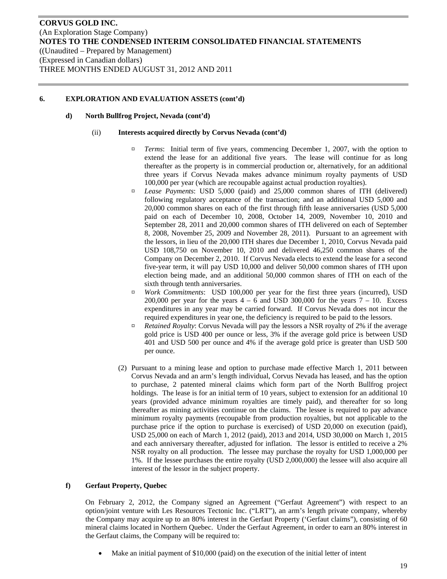## **d) North Bullfrog Project, Nevada (cont'd)**

#### (ii) **Interests acquired directly by Corvus Nevada (cont'd)**

- *¤ Terms*: Initial term of five years, commencing December 1, 2007, with the option to extend the lease for an additional five years. The lease will continue for as long thereafter as the property is in commercial production or, alternatively, for an additional three years if Corvus Nevada makes advance minimum royalty payments of USD 100,000 per year (which are recoupable against actual production royalties).
- ¤ *Lease Payments*: USD 5,000 (paid) and 25,000 common shares of ITH (delivered) following regulatory acceptance of the transaction; and an additional USD 5,000 and 20,000 common shares on each of the first through fifth lease anniversaries (USD 5,000 paid on each of December 10, 2008, October 14, 2009, November 10, 2010 and September 28, 2011 and 20,000 common shares of ITH delivered on each of September 8, 2008, November 25, 2009 and November 28, 2011). Pursuant to an agreement with the lessors, in lieu of the 20,000 ITH shares due December 1, 2010, Corvus Nevada paid USD 108,750 on November 10, 2010 and delivered 46,250 common shares of the Company on December 2, 2010. If Corvus Nevada elects to extend the lease for a second five-year term, it will pay USD 10,000 and deliver 50,000 common shares of ITH upon election being made, and an additional 50,000 common shares of ITH on each of the sixth through tenth anniversaries.
- ¤ *Work Commitments*: USD 100,000 per year for the first three years (incurred), USD 200,000 per year for the years  $4 - 6$  and USD 300,000 for the years  $7 - 10$ . Excess expenditures in any year may be carried forward. If Corvus Nevada does not incur the required expenditures in year one, the deficiency is required to be paid to the lessors.
- ¤ *Retained Royalty*: Corvus Nevada will pay the lessors a NSR royalty of 2% if the average gold price is USD 400 per ounce or less, 3% if the average gold price is between USD 401 and USD 500 per ounce and 4% if the average gold price is greater than USD 500 per ounce.
- (2) Pursuant to a mining lease and option to purchase made effective March 1, 2011 between Corvus Nevada and an arm's length individual, Corvus Nevada has leased, and has the option to purchase, 2 patented mineral claims which form part of the North Bullfrog project holdings. The lease is for an initial term of 10 years, subject to extension for an additional 10 years (provided advance minimum royalties are timely paid), and thereafter for so long thereafter as mining activities continue on the claims. The lessee is required to pay advance minimum royalty payments (recoupable from production royalties, but not applicable to the purchase price if the option to purchase is exercised) of USD 20,000 on execution (paid), USD 25,000 on each of March 1, 2012 (paid), 2013 and 2014, USD 30,000 on March 1, 2015 and each anniversary thereafter, adjusted for inflation. The lessor is entitled to receive a 2% NSR royalty on all production. The lessee may purchase the royalty for USD 1,000,000 per 1%. If the lessee purchases the entire royalty (USD 2,000,000) the lessee will also acquire all interest of the lessor in the subject property.

## **f) Gerfaut Property, Quebec**

On February 2, 2012, the Company signed an Agreement ("Gerfaut Agreement") with respect to an option/joint venture with Les Resources Tectonic Inc. ("LRT"), an arm's length private company, whereby the Company may acquire up to an 80% interest in the Gerfaut Property ('Gerfaut claims"), consisting of 60 mineral claims located in Northern Quebec. Under the Gerfaut Agreement, in order to earn an 80% interest in the Gerfaut claims, the Company will be required to:

Make an initial payment of \$10,000 (paid) on the execution of the initial letter of intent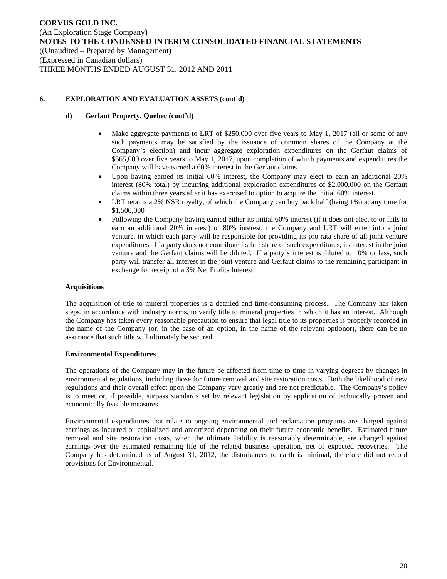## **d) Gerfaut Property, Quebec (cont'd)**

- Make aggregate payments to LRT of \$250,000 over five years to May 1, 2017 (all or some of any such payments may be satisfied by the issuance of common shares of the Company at the Company's election) and incur aggregate exploration expenditures on the Gerfaut claims of \$565,000 over five years to May 1, 2017, upon completion of which payments and expenditures the Company will have earned a 60% interest in the Gerfaut claims
- Upon having earned its initial 60% interest, the Company may elect to earn an additional 20% interest (80% total) by incurring additional exploration expenditures of \$2,000,000 on the Gerfaut claims within three years after it has exercised to option to acquire the initial 60% interest
- LRT retains a 2% NSR royalty, of which the Company can buy back half (being 1%) at any time for \$1,500,000
- Following the Company having earned either its initial 60% interest (if it does not elect to or fails to earn an additional 20% interest) or 80% interest, the Company and LRT will enter into a joint venture, in which each party will be responsible for providing its pro rata share of all joint venture expenditures. If a party does not contribute its full share of such expenditures, its interest in the joint venture and the Gerfaut claims will be diluted. If a party's interest is diluted to 10% or less, such party will transfer all interest in the joint venture and Gerfaut claims to the remaining participant in exchange for receipt of a 3% Net Profits Interest.

## **Acquisitions**

The acquisition of title to mineral properties is a detailed and time-consuming process. The Company has taken steps, in accordance with industry norms, to verify title to mineral properties in which it has an interest. Although the Company has taken every reasonable precaution to ensure that legal title to its properties is properly recorded in the name of the Company (or, in the case of an option, in the name of the relevant optionor), there can be no assurance that such title will ultimately be secured.

## **Environmental Expenditures**

The operations of the Company may in the future be affected from time to time in varying degrees by changes in environmental regulations, including those for future removal and site restoration costs. Both the likelihood of new regulations and their overall effect upon the Company vary greatly and are not predictable. The Company's policy is to meet or, if possible, surpass standards set by relevant legislation by application of technically proven and economically feasible measures.

Environmental expenditures that relate to ongoing environmental and reclamation programs are charged against earnings as incurred or capitalized and amortized depending on their future economic benefits. Estimated future removal and site restoration costs, when the ultimate liability is reasonably determinable, are charged against earnings over the estimated remaining life of the related business operation, net of expected recoveries. The Company has determined as of August 31, 2012, the disturbances to earth is minimal, therefore did not record provisions for Environmental.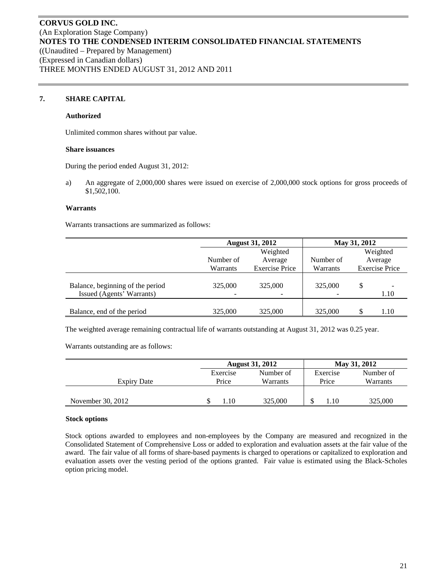## **7. SHARE CAPITAL**

#### **Authorized**

Unlimited common shares without par value.

#### **Share issuances**

During the period ended August 31, 2012:

a) An aggregate of 2,000,000 shares were issued on exercise of 2,000,000 stock options for gross proceeds of \$1,502,100.

#### **Warrants**

Warrants transactions are summarized as follows:

|                                                               | <b>August 31, 2012</b> | May 31, 2012          |           |    |                       |
|---------------------------------------------------------------|------------------------|-----------------------|-----------|----|-----------------------|
|                                                               |                        | Weighted              |           |    | Weighted              |
|                                                               | Number of              | Average               | Number of |    | Average               |
|                                                               | Warrants               | <b>Exercise Price</b> | Warrants  |    | <b>Exercise Price</b> |
| Balance, beginning of the period<br>Issued (Agents' Warrants) | 325,000                | 325,000               | 325,000   | \$ | 1.10                  |
| Balance, end of the period                                    | 325,000                | 325,000               | 325,000   |    | 1.10                  |

The weighted average remaining contractual life of warrants outstanding at August 31, 2012 was 0.25 year.

Warrants outstanding are as follows:

|                   |          | <b>August 31, 2012</b> |          | May 31, 2012 |  |
|-------------------|----------|------------------------|----------|--------------|--|
|                   | Exercise | Number of              | Exercise | Number of    |  |
| Expiry Date       | Price    | Warrants               | Price    | Warrants     |  |
|                   |          |                        |          |              |  |
| November 30, 2012 | .10      | 325,000                | 1.10     | 325,000      |  |

#### **Stock options**

Stock options awarded to employees and non-employees by the Company are measured and recognized in the Consolidated Statement of Comprehensive Loss or added to exploration and evaluation assets at the fair value of the award. The fair value of all forms of share-based payments is charged to operations or capitalized to exploration and evaluation assets over the vesting period of the options granted. Fair value is estimated using the Black-Scholes option pricing model.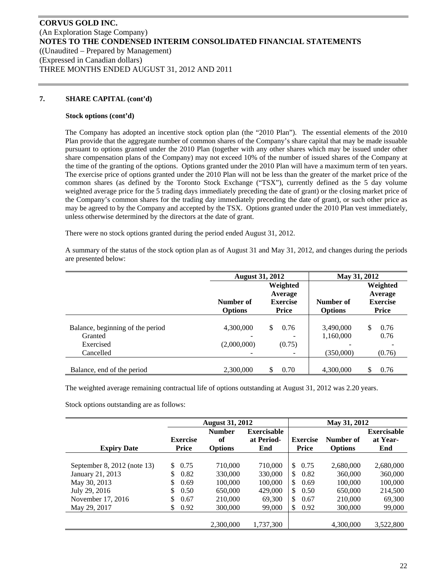## **7. SHARE CAPITAL (cont'd)**

#### **Stock options (cont'd)**

The Company has adopted an incentive stock option plan (the "2010 Plan"). The essential elements of the 2010 Plan provide that the aggregate number of common shares of the Company's share capital that may be made issuable pursuant to options granted under the 2010 Plan (together with any other shares which may be issued under other share compensation plans of the Company) may not exceed 10% of the number of issued shares of the Company at the time of the granting of the options. Options granted under the 2010 Plan will have a maximum term of ten years. The exercise price of options granted under the 2010 Plan will not be less than the greater of the market price of the common shares (as defined by the Toronto Stock Exchange ("TSX"), currently defined as the 5 day volume weighted average price for the 5 trading days immediately preceding the date of grant) or the closing market price of the Company's common shares for the trading day immediately preceding the date of grant), or such other price as may be agreed to by the Company and accepted by the TSX. Options granted under the 2010 Plan vest immediately, unless otherwise determined by the directors at the date of grant.

There were no stock options granted during the period ended August 31, 2012.

A summary of the status of the stock option plan as of August 31 and May 31, 2012, and changes during the periods are presented below:

|                                                                       | <b>August 31, 2012</b>      |                                                 | May 31, 2012                |                                                 |
|-----------------------------------------------------------------------|-----------------------------|-------------------------------------------------|-----------------------------|-------------------------------------------------|
|                                                                       | Number of<br><b>Options</b> | Weighted<br>Average<br><b>Exercise</b><br>Price | Number of<br><b>Options</b> | Weighted<br>Average<br><b>Exercise</b><br>Price |
| Balance, beginning of the period<br>Granted<br>Exercised<br>Cancelled | 4,300,000<br>(2,000,000)    | \$<br>0.76<br>(0.75)                            | 3,490,000<br>1,160,000      | \$<br>0.76<br>0.76                              |
| Balance, end of the period                                            | 2,300,000                   | 0.70<br>\$                                      | (350,000)<br>4,300,000      | (0.76)<br>\$<br>0.76                            |

The weighted average remaining contractual life of options outstanding at August 31, 2012 was 2.20 years.

Stock options outstanding are as follows:

|                             |                 | <b>August 31, 2012</b> |                    |                 | May 31, 2012   |                    |  |  |
|-----------------------------|-----------------|------------------------|--------------------|-----------------|----------------|--------------------|--|--|
|                             |                 | <b>Number</b>          | <b>Exercisable</b> |                 |                | <b>Exercisable</b> |  |  |
|                             | <b>Exercise</b> | of                     | at Period-         | <b>Exercise</b> | Number of      | at Year-           |  |  |
| <b>Expiry Date</b>          | <b>Price</b>    | <b>Options</b>         | End                | <b>Price</b>    | <b>Options</b> | End                |  |  |
|                             |                 |                        |                    |                 |                |                    |  |  |
| September 8, 2012 (note 13) | 0.75<br>\$.     | 710,000                | 710,000            | \$.<br>0.75     | 2.680,000      | 2,680,000          |  |  |
| January 21, 2013            | \$<br>0.82      | 330,000                | 330,000            | 0.82<br>\$.     | 360,000        | 360,000            |  |  |
| May 30, 2013                | \$<br>0.69      | 100,000                | 100,000            | \$.<br>0.69     | 100,000        | 100,000            |  |  |
| July 29, 2016               | \$<br>0.50      | 650,000                | 429,000            | \$<br>0.50      | 650,000        | 214,500            |  |  |
| November 17, 2016           | \$<br>0.67      | 210,000                | 69,300             | \$.<br>0.67     | 210,000        | 69,300             |  |  |
| May 29, 2017                | \$<br>0.92      | 300,000                | 99,000             | \$<br>0.92      | 300,000        | 99,000             |  |  |
|                             |                 |                        |                    |                 |                |                    |  |  |
|                             |                 | 2,300,000              | 1,737,300          |                 | 4.300,000      | 3,522,800          |  |  |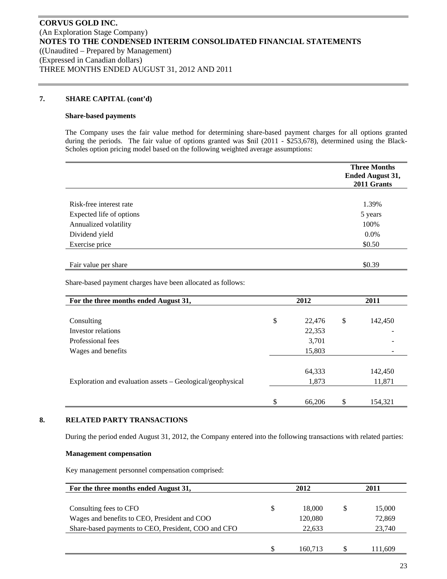## **7. SHARE CAPITAL (cont'd)**

#### **Share-based payments**

The Company uses the fair value method for determining share-based payment charges for all options granted during the periods. The fair value of options granted was \$nil (2011 - \$253,678), determined using the Black-Scholes option pricing model based on the following weighted average assumptions:

|                          | <b>Three Months</b><br><b>Ended August 31,</b><br>2011 Grants |
|--------------------------|---------------------------------------------------------------|
|                          |                                                               |
| Risk-free interest rate  | 1.39%                                                         |
| Expected life of options | 5 years                                                       |
| Annualized volatility    | 100%                                                          |
| Dividend yield           | $0.0\%$                                                       |
| Exercise price           | \$0.50                                                        |
|                          |                                                               |
| Fair value per share     | \$0.39                                                        |

Share-based payment charges have been allocated as follows:

| For the three months ended August 31,                      | 2012 |        |    | 2011    |  |
|------------------------------------------------------------|------|--------|----|---------|--|
|                                                            |      |        |    |         |  |
| Consulting                                                 | \$   | 22,476 | \$ | 142,450 |  |
| Investor relations                                         |      | 22,353 |    |         |  |
| Professional fees                                          |      | 3,701  |    |         |  |
| Wages and benefits                                         |      | 15,803 |    |         |  |
|                                                            |      |        |    |         |  |
|                                                            |      | 64,333 |    | 142,450 |  |
| Exploration and evaluation assets – Geological/geophysical |      | 1,873  |    | 11,871  |  |
|                                                            |      |        |    |         |  |
|                                                            | \$   | 66,206 | \$ | 154.321 |  |

## **8. RELATED PARTY TRANSACTIONS**

During the period ended August 31, 2012, the Company entered into the following transactions with related parties:

#### **Management compensation**

Key management personnel compensation comprised:

| For the three months ended August 31,               |    | 2012    | 2011 |         |
|-----------------------------------------------------|----|---------|------|---------|
|                                                     |    |         |      |         |
| Consulting fees to CFO                              | \$ | 18,000  | S    | 15,000  |
| Wages and benefits to CEO, President and COO        |    | 120,080 |      | 72,869  |
| Share-based payments to CEO, President, COO and CFO |    | 22.633  |      | 23,740  |
|                                                     |    |         |      |         |
|                                                     |    | 160.713 |      | 111.609 |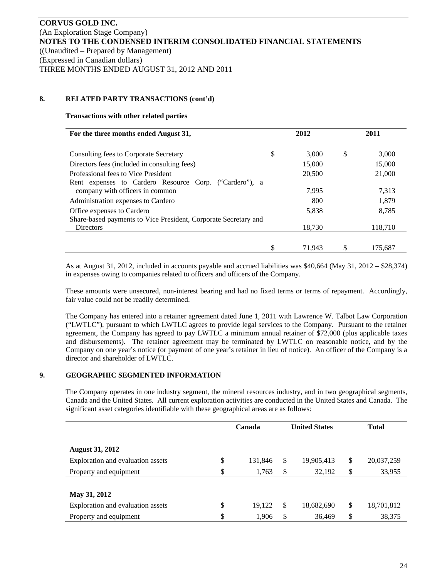## **8. RELATED PARTY TRANSACTIONS (cont'd)**

#### **Transactions with other related parties**

| For the three months ended August 31,                           |    | 2012   |    | 2011    |  |
|-----------------------------------------------------------------|----|--------|----|---------|--|
|                                                                 |    |        |    |         |  |
| Consulting fees to Corporate Secretary                          | \$ | 3.000  | \$ | 3,000   |  |
| Directors fees (included in consulting fees)                    |    | 15,000 |    | 15,000  |  |
| Professional fees to Vice President                             |    | 20,500 |    | 21,000  |  |
| Rent expenses to Cardero Resource Corp. ("Cardero"), a          |    |        |    |         |  |
| company with officers in common                                 |    | 7,995  |    | 7,313   |  |
| Administration expenses to Cardero                              |    | 800    |    | 1,879   |  |
| Office expenses to Cardero                                      |    | 5,838  |    | 8,785   |  |
| Share-based payments to Vice President, Corporate Secretary and |    |        |    |         |  |
| <b>Directors</b>                                                |    | 18,730 |    | 118.710 |  |
|                                                                 |    |        |    |         |  |
|                                                                 | \$ | 71.943 |    | 175,687 |  |

As at August 31, 2012, included in accounts payable and accrued liabilities was \$40,664 (May 31, 2012 – \$28,374) in expenses owing to companies related to officers and officers of the Company.

These amounts were unsecured, non-interest bearing and had no fixed terms or terms of repayment. Accordingly, fair value could not be readily determined.

The Company has entered into a retainer agreement dated June 1, 2011 with Lawrence W. Talbot Law Corporation ("LWTLC"), pursuant to which LWTLC agrees to provide legal services to the Company. Pursuant to the retainer agreement, the Company has agreed to pay LWTLC a minimum annual retainer of \$72,000 (plus applicable taxes and disbursements). The retainer agreement may be terminated by LWTLC on reasonable notice, and by the Company on one year's notice (or payment of one year's retainer in lieu of notice). An officer of the Company is a director and shareholder of LWTLC.

## **9. GEOGRAPHIC SEGMENTED INFORMATION**

The Company operates in one industry segment, the mineral resources industry, and in two geographical segments, Canada and the United States. All current exploration activities are conducted in the United States and Canada. The significant asset categories identifiable with these geographical areas are as follows:

|                                         | Canada  | <b>United States</b> | <b>Total</b>     |
|-----------------------------------------|---------|----------------------|------------------|
|                                         |         |                      |                  |
| <b>August 31, 2012</b>                  |         |                      |                  |
| \$<br>Exploration and evaluation assets | 131,846 | \$<br>19,905,413     | \$<br>20,037,259 |
| \$<br>Property and equipment            | 1,763   | \$<br>32,192         | \$<br>33,955     |
|                                         |         |                      |                  |
| May 31, 2012                            |         |                      |                  |
| \$<br>Exploration and evaluation assets | 19,122  | \$<br>18,682,690     | \$<br>18,701,812 |
| \$<br>Property and equipment            | 1,906   | \$<br>36,469         | \$<br>38,375     |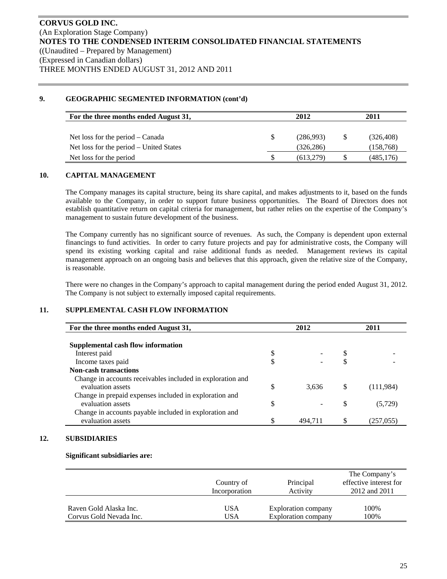# **9. GEOGRAPHIC SEGMENTED INFORMATION (cont'd)**

| For the three months ended August 31,   | 2012       | 2011 |            |  |
|-----------------------------------------|------------|------|------------|--|
| Net loss for the period $-$ Canada      | (286,993)  |      | (326, 408) |  |
| Net loss for the period – United States | (326, 286) |      | (158, 768) |  |
| Net loss for the period                 | (613,279)  |      | (485, 176) |  |

## **10. CAPITAL MANAGEMENT**

The Company manages its capital structure, being its share capital, and makes adjustments to it, based on the funds available to the Company, in order to support future business opportunities. The Board of Directors does not establish quantitative return on capital criteria for management, but rather relies on the expertise of the Company's management to sustain future development of the business.

The Company currently has no significant source of revenues. As such, the Company is dependent upon external financings to fund activities. In order to carry future projects and pay for administrative costs, the Company will spend its existing working capital and raise additional funds as needed. Management reviews its capital management approach on an ongoing basis and believes that this approach, given the relative size of the Company, is reasonable.

There were no changes in the Company's approach to capital management during the period ended August 31, 2012. The Company is not subject to externally imposed capital requirements.

# **11. SUPPLEMENTAL CASH FLOW INFORMATION**

|    | 2012  | 2011    |           |  |
|----|-------|---------|-----------|--|
|    |       |         |           |  |
|    |       |         |           |  |
| Φ  |       | S       |           |  |
| \$ |       |         |           |  |
|    |       |         |           |  |
|    |       |         |           |  |
| \$ | 3,636 | \$      | (111,984) |  |
|    |       |         |           |  |
| \$ |       | S       | (5, 729)  |  |
|    |       |         |           |  |
|    |       |         | (257,055) |  |
|    |       | 494.711 |           |  |

## **12. SUBSIDIARIES**

#### **Significant subsidiaries are:**

|                         | Country of<br>Incorporation | Principal<br>Activity | The Company's<br>effective interest for<br>2012 and 2011 |
|-------------------------|-----------------------------|-----------------------|----------------------------------------------------------|
| Raven Gold Alaska Inc.  | USA                         | Exploration company   | 100%                                                     |
| Corvus Gold Nevada Inc. | USA                         | Exploration company   | 100%                                                     |